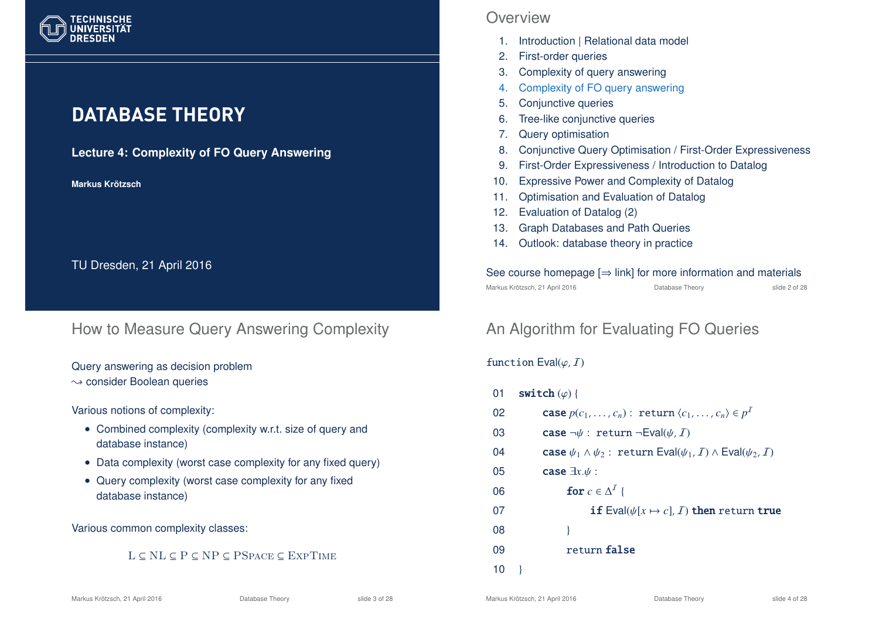

# **DATABASE THEORY**

### **Lecture 4: Complexity of FO Query Answering**

**Markus Krotzsch ¨**

TU Dresden, 21 April 2016

## How to Measure Query Answering Complexity

Query answering as decision problem  $\rightarrow$  consider Boolean queries

#### Various notions of complexity:

- Combined complexity (complexity w.r.t. size of query and database instance)
- Data complexity (worst case complexity for any fixed query)
- Query complexity (worst case complexity for any fixed database instance)

#### Various common complexity classes:

### L ⊆ NL ⊆ P ⊆ NP ⊆ PSpace ⊆ ExpTime

## **Overview**

- 1. Introduction | Relational data model
- 2. First-order queries
- 3. Complexity of query answering
- 4. Complexity of FO query answering
- 5. Conjunctive queries
- 6. Tree-like conjunctive queries
- 7. Query optimisation
- 8. Conjunctive Query Optimisation / First-Order Expressiveness
- 9. First-Order Expressiveness / Introduction to Datalog
- 10. Expressive Power and Complexity of Datalog
- 11. Optimisation and Evaluation of Datalog
- 12. Evaluation of Datalog (2)
- 13. Graph Databases and Path Queries
- 14. Outlook: database theory in practice

#### See course homepage  $[\Rightarrow$  link] for more information and materials Markus Krötzsch, 21 April 2016 Database Theory slide 2 of 28

# An Algorithm for Evaluating FO Queries

### function  $Eval(\varphi, I)$

- 01 switch  $(\varphi)$  {
- 02 **case**  $p(c_1, ..., c_n)$ : return  $\langle c_1, ..., c_n \rangle \in p^T$
- 03 **case**  $\neg \psi$ : return  $\neg \text{Eval}(\psi, I)$
- 04 **case**  $\psi_1 \wedge \psi_2$ : return Eval( $\psi_1$ , *I*)  $\wedge$  Eval( $\psi_2$ , *I*)
- 05 case ∃*x*.ψ :
- 06 **for**  $c \in \Delta^I$  {

### 07 **if** Eval( $\psi[x \mapsto c]$ , *I*) then return true

- 08 }
- 09 return false
- $10$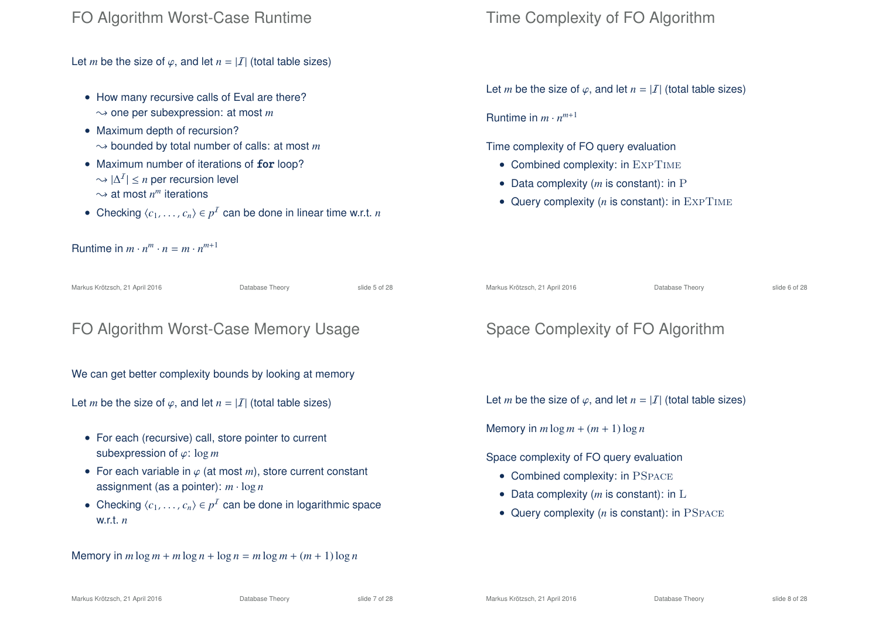## FO Algorithm Worst-Case Runtime

Let *m* be the size of  $\varphi$ , and let  $n = |I|$  (total table sizes)

- How many recursive calls of Eval are there?  $\rightarrow$  one per subexpression: at most *m*
- Maximum depth of recursion?  $\rightarrow$  bounded by total number of calls: at most *m*
- Maximum number of iterations of for loop?  $\sim |\Delta^2|$  ≤ *n* per recursion level  $\sim$  at most  $n^m$  iterations
- Checking  $\langle c_1, \ldots, c_n \rangle \in p^I$  can be done in linear time w.r.t. *n*

Runtime in  $m \cdot n^m \cdot n = m \cdot n^{m+1}$ 

Markus Krötzsch, 21 April 2016 Database Theory slide 5 of 28

## FO Algorithm Worst-Case Memory Usage

We can get better complexity bounds by looking at memory

Let *m* be the size of  $\varphi$ , and let  $n = |I|$  (total table sizes)

- For each (recursive) call, store pointer to current subexpression of ϕ: log *m*
- For each variable in ϕ (at most *m*), store current constant assignment (as a pointer): *m* · log *n*
- Checking  $\langle c_1, \ldots, c_n \rangle \in p^I$  can be done in logarithmic space w.r.t. *n*

Memory in  $m \log m + m \log n + \log n = m \log m + (m + 1) \log n$ 

## Time Complexity of FO Algorithm

Let *m* be the size of  $\varphi$ , and let  $n = |I|$  (total table sizes)

Runtime in  $m \cdot n^{m+1}$ 

Time complexity of FO query evaluation

- Combined complexity: in EXPTIME
- Data complexity (*m* is constant): in P
- Query complexity  $(n \text{ is constant})$ : in  $\text{ExPTIME}$

Markus Krötzsch, 21 April 2016 **Database Theory** Charles Krötzsch, 21 April 2016

# Space Complexity of FO Algorithm

Let *m* be the size of  $\varphi$ , and let  $n = |I|$  (total table sizes)

Memory in  $m \log m + (m + 1) \log n$ 

Space complexity of FO query evaluation

- Combined complexity: in PSPACE
- Data complexity (*m* is constant): in L
- Query complexity (*n* is constant): in PSPACE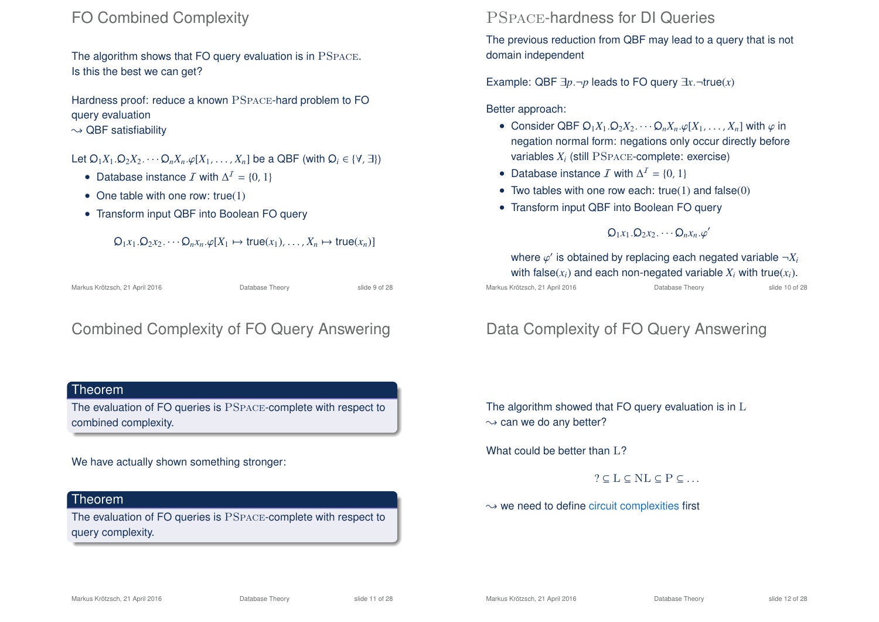## FO Combined Complexity

The algorithm shows that FO query evaluation is in PSpace. Is this the best we can get?

Hardness proof: reduce a known PSpace-hard problem to FO query evaluation

 $\sim$  QBF satisfiability

### Let  $Q_1X_1 \cdot Q_2X_2 \cdots Q_nX_n \cdot \varphi[X_1, \ldots, X_n]$  be a QBF (with  $Q_i \in \{\forall, \exists\}\$ )

- Database instance  $\mathcal I$  with  $\Delta^2 = \{0, 1\}$
- One table with one row:  $true(1)$
- Transform input QBF into Boolean FO query

 $Q_1x_1 \cdot Q_2x_2 \cdots Q_nx_n \cdot \varphi[X_1 \mapsto \text{true}(x_1) \ldots \cdot X_n \mapsto \text{true}(x_n)$ 

Markus Krötzsch, 21 April 2016 Database Theory slide 9 of 28

# Combined Complexity of FO Query Answering

### Theorem

The evaluation of FO queries is PSpace-complete with respect to combined complexity.

### We have actually shown something stronger:

### Theorem

The evaluation of FO queries is PSpace-complete with respect to query complexity.

## PSpace-hardness for DI Queries

The previous reduction from QBF may lead to a query that is not domain independent

Example: QBF  $\exists p.\neg p$  leads to FO query  $\exists x.\neg true(x)$ 

### Better approach:

- Consider QBF  $Q_1X_1 \cdot Q_2X_2 \cdots Q_nX_n \cdot \varphi[X_1, \ldots, X_n]$  with  $\varphi$  in negation normal form: negations only occur directly before variables  $X_i$  (still  $\mathrm{PSPACE}\text{-}\mathrm{complete:}$  exercise)
- Database instance  $\mathcal I$  with  $\Delta^2 = \{0, 1\}$
- Two tables with one row each:  $true(1)$  and  $false(0)$
- Transform input QBF into Boolean FO query

## $Q_1x_1 . Q_2x_2 . \cdots Q_nx_n . \varphi'$

where  $\varphi'$  is obtained by replacing each negated variable  $\neg X_i$ with false( $x_i$ ) and each non-negated variable  $X_i$  with true( $x_i$ ).

Markus Krötzsch, 21 April 2016 Database Theory slide 10 of 28

# Data Complexity of FO Query Answering

The algorithm showed that FO query evaluation is in L  $\rightarrow$  can we do any better?

What could be better than  $L$ ?

 $? \subseteq L \subseteq NL \subseteq P \subseteq ...$ 

 $\rightarrow$  we need to define circuit complexities first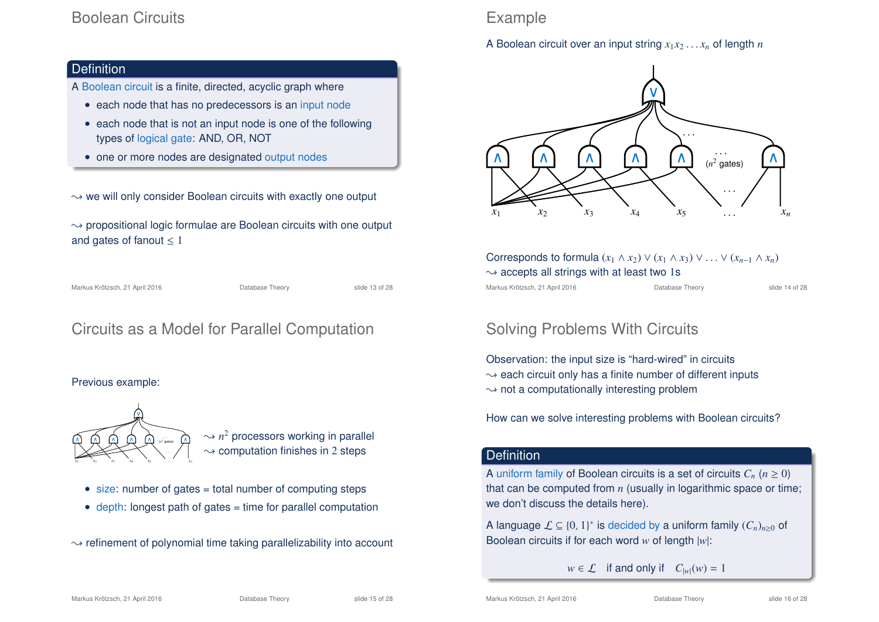## Boolean Circuits

### **Definition**

- A Boolean circuit is a finite, directed, acyclic graph where
	- each node that has no predecessors is an input node
	- each node that is not an input node is one of the following types of logical gate: AND, OR, NOT
	- one or more nodes are designated output nodes

 $\rightarrow$  we will only consider Boolean circuits with exactly one output

 $\rightarrow$  propositional logic formulae are Boolean circuits with one output and gates of fanout  $\leq 1$ 

Markus Krötzsch, 21 April 2016 **Database Theory** Slide 13 of 28

# Circuits as a Model for Parallel Computation

#### Previous example:



 $\sim$   $n^2$  processors working in parallel  $\rightarrow$  computation finishes in 2 steps

- size: number of gates = total number of computing steps
- depth: longest path of gates = time for parallel computation
- $\rightarrow$  refinement of polynomial time taking parallelizability into account

# Example

A Boolean circuit over an input string  $x_1x_2 \ldots x_n$  of length *n* 



| Corresponds to formula $(x_1 \wedge x_2) \vee (x_1 \wedge x_3) \vee \ldots \vee (x_{n-1} \wedge x_n)$ |                 |                |  |  |  |  |  |
|-------------------------------------------------------------------------------------------------------|-----------------|----------------|--|--|--|--|--|
| $\rightsquigarrow$ accepts all strings with at least two 1s                                           |                 |                |  |  |  |  |  |
| Markus Krötzsch, 21 April 2016                                                                        | Database Theory | slide 14 of 28 |  |  |  |  |  |

# Solving Problems With Circuits

Observation: the input size is "hard-wired" in circuits  $\rightarrow$  each circuit only has a finite number of different inputs  $\rightarrow$  not a computationally interesting problem

How can we solve interesting problems with Boolean circuits?

### **Definition**

A uniform family of Boolean circuits is a set of circuits  $C_n$  ( $n \geq 0$ ) that can be computed from *n* (usually in logarithmic space or time; we don't discuss the details here).

A language  $\mathcal{L} \subseteq \{0, 1\}^*$  is decided by a uniform family  $(C_n)_{n \geq 0}$  of Boolean circuits if for each word *w* of length |*w*|:

 $w \in \mathcal{L}$  if and only if  $C_{|w|}(w) = 1$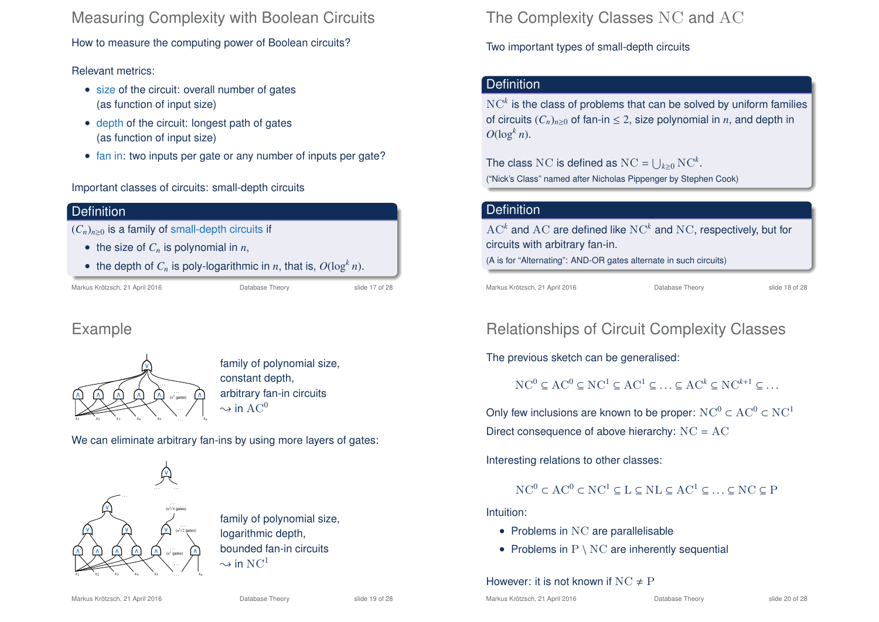Measuring Complexity with Boolean Circuits

How to measure the computing power of Boolean circuits?

### Relevant metrics:

- size of the circuit: overall number of gates (as function of input size)
- depth of the circuit: longest path of gates (as function of input size)
- fan in: two inputs per gate or any number of inputs per gate?

### Important classes of circuits: small-depth circuits

### **Definition**

- $(C_n)_{n\geq 0}$  is a family of small-depth circuits if
	- the size of  $C_n$  is polynomial in  $n$ ,
	- the depth of  $C_n$  is poly-logarithmic in *n*, that is,  $O(\log^k n)$ .

Markus Krötzsch, 21 April 2016 **Database Theory** Slide 17 of 28

## Example



family of polynomial size, constant depth, arbitrary fan-in circuits  $\rightarrow$  in AC<sup>0</sup>

We can eliminate arbitrary fan-ins by using more layers of gates:



family of polynomial size, logarithmic depth, bounded fan-in circuits  $\sim$  in  $NC<sup>1</sup>$ 

The Complexity Classes NC and AC

Two important types of small-depth circuits

## **Definition**

 $\mathrm{NC}^k$  is the class of problems that can be solved by uniform families of circuits  $(C_n)_{n>0}$  of fan-in  $\leq 2$ , size polynomial in *n*, and depth in  $O(\log^k n)$ .

The class NC is defined as  $NC = \bigcup_{k \geq 0} NC^k$ . ("Nick's Class" named after Nicholas Pippenger by Stephen Cook)

### **Definition**

 $\mathrm{AC}^k$  and  $\mathrm{AC}$  are defined like  $\mathrm{NC}^k$  and  $\mathrm{NC}$ , respectively, but for circuits with arbitrary fan-in. (A is for "Alternating": AND-OR gates alternate in such circuits)

Markus Krötzsch, 21 April 2016 **Database Theory** Slide 18 of 28

# Relationships of Circuit Complexity Classes

The previous sketch can be generalised:

 $NC^0 \subset AC^0 \subset NC^1 \subset AC^1 \subset \cdots \subset AC^k \subset NC^{k+1} \subset \cdots$ 

Only few inclusions are known to be proper:  $NC^0 \subset AC^0 \subset NC^1$ Direct consequence of above hierarchy:  $NC = AC$ 

Interesting relations to other classes:

## $NC^0 \subset AC^0 \subset NC^1 \subset L \subset NL \subset AC^1 \subset ... \subset NC \subset P$

Intuition:

- Problems in NC are parallelisable
- Problems in  $P \setminus NC$  are inherently sequential

### However: it is not known if  $NC \neq P$

Markus Krötzsch, 21 April 2016 Database Theory slide 19 of 28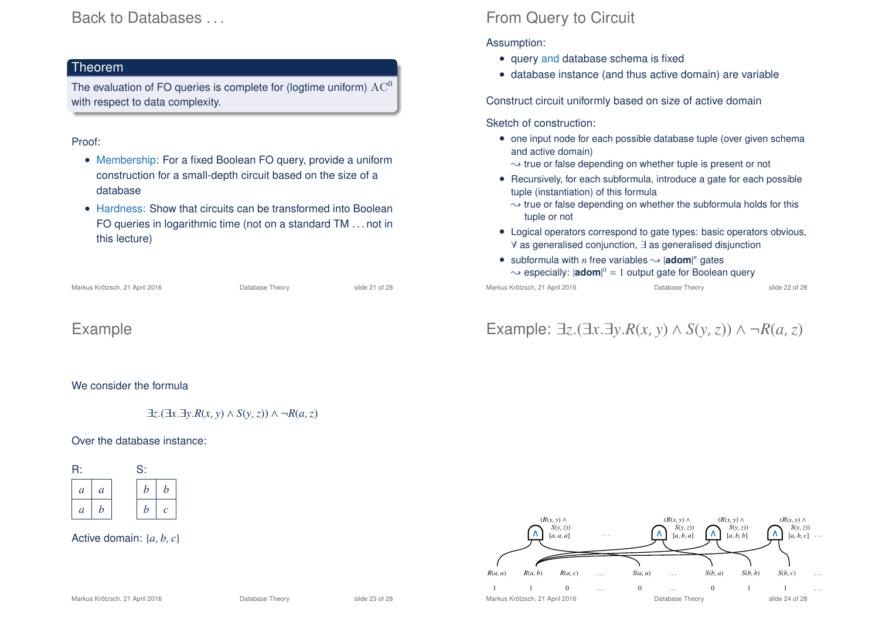## Back to Databases . . .

#### Theorem

The evaluation of FO queries is complete for (logtime uniform)  $AC<sup>0</sup>$ with respect to data complexity.

### Proof:

- Membership: For a fixed Boolean FO query, provide a uniform construction for a small-depth circuit based on the size of a database
- Hardness: Show that circuits can be transformed into Boolean FO queries in logarithmic time (not on a standard TM . . . not in this lecture)

Database Theory slide 21 of 28

## Example

#### We consider the formula

∃*z*.(∃*x*.∃*y*.*R*(*x*, *y*) ∧ *S*(*y*,*z*)) ∧ ¬*R*(*a*,*z*)

#### Over the database instance:

| R: |                  | S:            |   |              |
|----|------------------|---------------|---|--------------|
|    | $\boldsymbol{a}$ | $\mathfrak a$ | b | b            |
|    | $\overline{a}$   | b             | b | $\mathcal C$ |

Active domain: {*a*, *b*, *c*}

# From Query to Circuit

### Assumption:

- query and database schema is fixed
- database instance (and thus active domain) are variable

Construct circuit uniformly based on size of active domain

Sketch of construction:

- one input node for each possible database tuple (over given schema and active domain)
	- $\rightarrow$  true or false depending on whether tuple is present or not
- Recursively, for each subformula, introduce a gate for each possible tuple (instantiation) of this formula
	- $\rightarrow$  true or false depending on whether the subformula holds for this tuple or not
- Logical operators correspond to gate types: basic operators obvious, ∀ as generalised conjunction, ∃ as generalised disjunction
- subformula with *n* free variables  $\rightsquigarrow$  |**adom**|<sup>*n*</sup> gates  $\rightsquigarrow$  especially:  $|{\bf adom}|^0 = 1$  output gate for Boolean query

Markus Krötzsch, 21 April 2016 Database Theory slide 22 of 28

# Example: ∃*z*.(∃*x*.∃*y*.*R*(*x*, *y*) ∧ *S*(*y*,*z*)) ∧ ¬*R*(*a*,*z*)